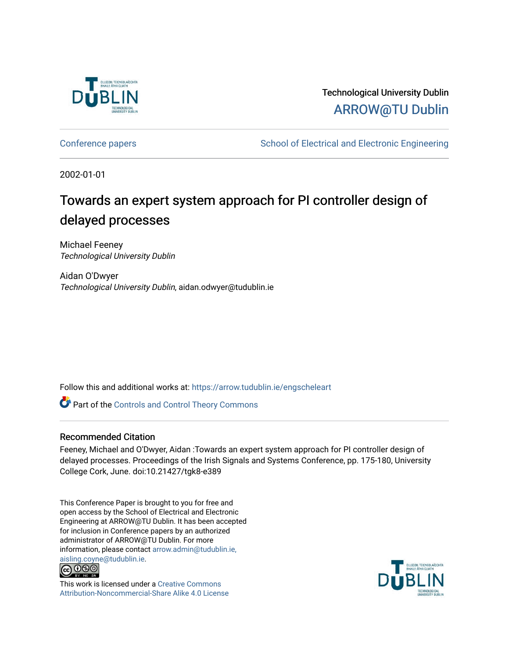

Technological University Dublin [ARROW@TU Dublin](https://arrow.tudublin.ie/) 

[Conference papers](https://arrow.tudublin.ie/engscheleart) **School of Electrical and Electronic Engineering** 

2002-01-01

# Towards an expert system approach for PI controller design of delayed processes

Michael Feeney Technological University Dublin

Aidan O'Dwyer Technological University Dublin, aidan.odwyer@tudublin.ie

Follow this and additional works at: [https://arrow.tudublin.ie/engscheleart](https://arrow.tudublin.ie/engscheleart?utm_source=arrow.tudublin.ie%2Fengscheleart%2F87&utm_medium=PDF&utm_campaign=PDFCoverPages) 

Part of the [Controls and Control Theory Commons](http://network.bepress.com/hgg/discipline/269?utm_source=arrow.tudublin.ie%2Fengscheleart%2F87&utm_medium=PDF&utm_campaign=PDFCoverPages) 

# Recommended Citation

Feeney, Michael and O'Dwyer, Aidan :Towards an expert system approach for PI controller design of delayed processes. Proceedings of the Irish Signals and Systems Conference, pp. 175-180, University College Cork, June. doi:10.21427/tgk8-e389

This Conference Paper is brought to you for free and open access by the School of Electrical and Electronic Engineering at ARROW@TU Dublin. It has been accepted for inclusion in Conference papers by an authorized administrator of ARROW@TU Dublin. For more information, please contact [arrow.admin@tudublin.ie,](mailto:arrow.admin@tudublin.ie,%20aisling.coyne@tudublin.ie)  [aisling.coyne@tudublin.ie.](mailto:arrow.admin@tudublin.ie,%20aisling.coyne@tudublin.ie)<br>© 090



This work is licensed under a [Creative Commons](http://creativecommons.org/licenses/by-nc-sa/4.0/) [Attribution-Noncommercial-Share Alike 4.0 License](http://creativecommons.org/licenses/by-nc-sa/4.0/)

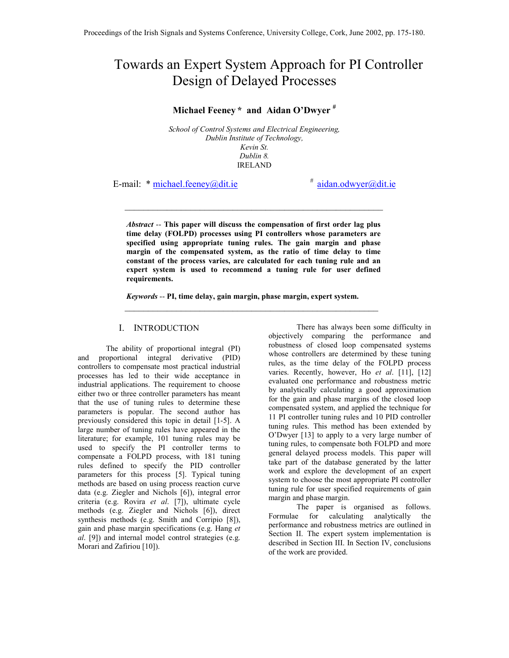# Towards an Expert System Approach for PI Controller Design of Delayed Processes

# **Michael Feeney \* and Aidan O'Dwyer #**

*School of Control Systems and Electrical Engineering, Dublin Institute of Technology, Kevin St. Dublin 8.*  IRELAND

E-mail:  $*$  michael.feeney@dit.ie  $*$  aidan.odwyer@dit.ie

*Abstract* -- **This paper will discuss the compensation of first order lag plus time delay (FOLPD) processes using PI controllers whose parameters are specified using appropriate tuning rules. The gain margin and phase margin of the compensated system, as the ratio of time delay to time constant of the process varies, are calculated for each tuning rule and an expert system is used to recommend a tuning rule for user defined requirements.** 

*Keywords* -- **PI, time delay, gain margin, phase margin, expert system.**

 $\mathcal{L}_\text{max}$  and the contract of the contract of the contract of the contract of the contract of the contract of

 $\mathcal{L}_\text{max}$  and the contract of the contract of the contract of the contract of the contract of the contract of

#### I. INTRODUCTION

The ability of proportional integral (PI) proportional integral derivative (PID) controllers to compensate most practical industrial processes has led to their wide acceptance in industrial applications. The requirement to choose either two or three controller parameters has meant that the use of tuning rules to determine these parameters is popular. The second author has previously considered this topic in detail [1-5]. A large number of tuning rules have appeared in the literature; for example, 101 tuning rules may be used to specify the PI controller terms to compensate a FOLPD process, with 181 tuning rules defined to specify the PID controller parameters for this process [5]. Typical tuning methods are based on using process reaction curve data (e.g. Ziegler and Nichols [6]), integral error criteria (e.g. Rovira *et al*. [7]), ultimate cycle methods (e.g. Ziegler and Nichols [6]), direct synthesis methods (e.g. Smith and Corripio [8]), gain and phase margin specifications (e.g. Hang *et al*. [9]) and internal model control strategies (e.g. Morari and Zafiriou [10]).

There has always been some difficulty in objectively comparing the performance and robustness of closed loop compensated systems whose controllers are determined by these tuning rules, as the time delay of the FOLPD process varies. Recently, however, Ho *et al*. [11], [12] evaluated one performance and robustness metric by analytically calculating a good approximation for the gain and phase margins of the closed loop compensated system, and applied the technique for 11 PI controller tuning rules and 10 PID controller tuning rules. This method has been extended by O'Dwyer [13] to apply to a very large number of tuning rules, to compensate both FOLPD and more general delayed process models. This paper will take part of the database generated by the latter work and explore the development of an expert system to choose the most appropriate PI controller tuning rule for user specified requirements of gain margin and phase margin.

The paper is organised as follows. Formulae for calculating analytically the performance and robustness metrics are outlined in Section II. The expert system implementation is described in Section III. In Section IV, conclusions of the work are provided.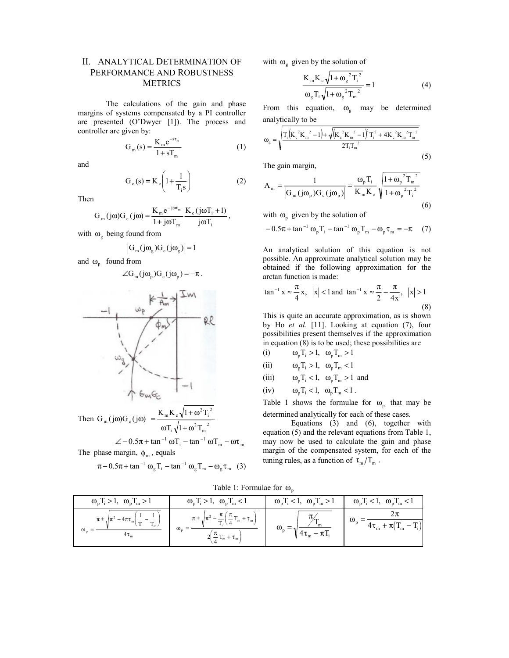## II. ANALYTICAL DETERMINATION OF PERFORMANCE AND ROBUSTNESS **METRICS**

The calculations of the gain and phase margins of systems compensated by a PI controller are presented (O'Dwyer [1]). The process and controller are given by:

$$
G_{m}(s) = \frac{K_{m}e^{-s\tau_{m}}}{1 + sT_{m}}
$$
 (1)

and

$$
G_c(s) = K_c \left( 1 + \frac{1}{T_i s} \right) \tag{2}
$$

Then

$$
G_{m}(j\omega)G_{c}(j\omega) = \frac{K_{m}e^{-j\omega\tau_{m}}}{1+j\omega T_{m}}\frac{K_{c}(j\omega T_{i}+1)}{j\omega T_{i}},
$$

with  $\omega_{g}$  being found from

$$
|G_{m}(j\omega_{g})G_{c}(j\omega_{g})|=1
$$

and  $\omega$ <sub>n</sub> found from

$$
\angle G_{m}(j\omega_{p})G_{c}(j\omega_{p}) = -\pi.
$$



Then 
$$
G_m(j\omega)G_c(j\omega) = \frac{K_m K_c \sqrt{1 + \omega^2 T_i^2}}{\omega T_i \sqrt{1 + \omega^2 T_m^2}}
$$
  

$$
\angle -0.5\pi + \tan^{-1} \omega T_i - \tan^{-1} \omega T_m - \omega \tau_m
$$

The phase margin,  $\phi_m$ , equals

$$
\pi \! - \! 0.5 \pi \! + \! \tan^{-1} \omega_{\rm g} T_{\rm i} \! - \! \tan^{-1} \omega_{\rm g} T_{\rm m} - \omega_{\rm g} \tau_{\rm m} ~~(3)
$$

with  $\omega_{g}$  given by the solution of

$$
\frac{K_{m}K_{c}\sqrt{1+\omega_{g}^{2}T_{i}^{2}}}{\omega_{g}T_{i}\sqrt{1+\omega_{g}^{2}T_{m}^{2}}} = 1
$$
\n(4)

From this equation,  $\omega_{g}$  may be determined analytically to be

$$
\omega_{g} = \sqrt{\frac{T_{i}\left(K_{c}^{2}K_{m}^{2}-1\right)+\sqrt{\left(K_{c}^{2}K_{m}^{2}-1\right)^{2}T_{i}^{2}+4K_{c}^{2}K_{m}^{2}T_{m}^{2}}{2T_{i}T_{m}^{2}}}
$$
\n(5)

The gain margin,

$$
A_{m} = \frac{1}{\left| G_{m}(j\omega_{p})G_{c}(j\omega_{p}) \right|} = \frac{\omega_{p}T_{i}}{K_{m}K_{c}} \sqrt{\frac{1+\omega_{p}^{2}T_{m}^{2}}{1+\omega_{p}^{2}T_{i}^{2}}}
$$
(6)

with  $\omega_p$  given by the solution of

$$
-0.5\pi + \tan^{-1} \omega_{p} T_{i} - \tan^{-1} \omega_{p} T_{m} - \omega_{p} \tau_{m} = -\pi \quad (7)
$$

An analytical solution of this equation is not possible. An approximate analytical solution may be obtained if the following approximation for the arctan function is made:

$$
\tan^{-1} x \approx \frac{\pi}{4} x, |x| < 1
$$
 and  $\tan^{-1} x \approx \frac{\pi}{2} - \frac{\pi}{4x}, |x| > 1$  (8)

This is quite an accurate approximation, as is shown by Ho *et al*. [11]. Looking at equation (7), four possibilities present themselves if the approximation in equation  $(8)$  is to be used; these possibilities are

$$
(i) \qquad \qquad \omega_{p}T_{i} > 1, \quad \omega_{p}T_{m} > 1
$$

(ii)  $\omega_{\text{p}}T_{\text{i}} > 1$ ,  $\omega_{\text{p}}T_{\text{m}} < 1$ 

(iii) 
$$
\omega_p T_i < 1
$$
,  $\omega_p T_m > 1$  and

(iv)  $\qquad \omega_{\text{p}} T_{\text{i}} < 1, \quad \omega_{\text{p}} T_{\text{m}} < 1$ .

Table 1 shows the formulae for  $\omega_{p}$  that may be determined analytically for each of these cases.

Equations (3) and (6), together with equation (5) and the relevant equations from Table 1, may now be used to calculate the gain and phase margin of the compensated system, for each of the tuning rules, as a function of  $\tau_{\rm m}/T_{\rm m}$ .

Table 1: Formulae for  $\omega_p$ 

| $\omega_{\text{p}} T_{\text{i}} > 1$ , $\omega_{\text{p}} T_{\text{m}} > 1$       | $\omega_{\text{p}} T_{\text{i}} > 1$ , $\omega_{\text{p}} T_{\text{m}} < 1$                                                       | $\omega_{\text{p}} T_{\text{i}} < 1$ , $\omega_{\text{p}} T_{\text{m}} > 1$ | $\omega_{\text{p}} T_{\text{i}} < 1$ , $\omega_{\text{p}} T_{\text{m}} < 1$ |
|-----------------------------------------------------------------------------------|-----------------------------------------------------------------------------------------------------------------------------------|-----------------------------------------------------------------------------|-----------------------------------------------------------------------------|
| $\pi \pm \sqrt{\pi^2 - 4\pi \tau_m} \frac{1}{T}$<br>$\omega_{\rm n}$<br>$4\tau_m$ | $\pi$ ( $\pi$ <sub>rr</sub><br>$\pi \pm \sqrt{\pi^2 - (-1)^2}$<br>$\cdot$ m $\cdot$ m<br>$\omega_{\rm n}$<br>$T = T_m + \tau_m$ , | m<br>$\omega_{\rm n}$<br>$4\tau_{\rm m}$<br>$-\pi_1$                        | $\omega_{\rm p}$<br>$4\tau_m + \pi (T_m - T_i)$                             |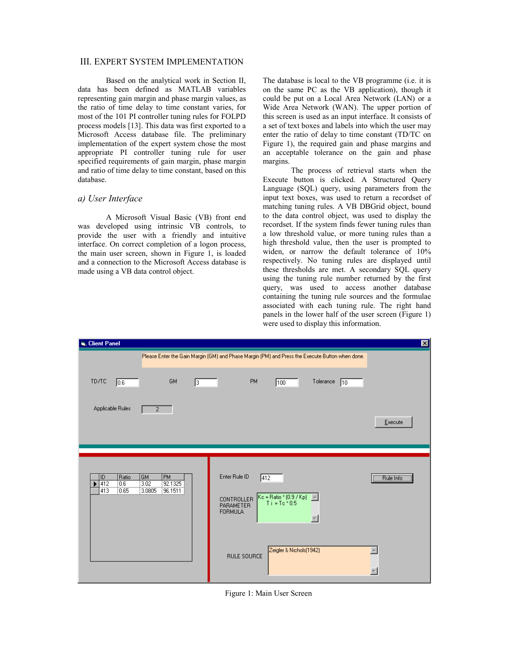#### III. EXPERT SYSTEM IMPLEMENTATION

Based on the analytical work in Section II, data has been defined as MATLAB variables representing gain margin and phase margin values, as the ratio of time delay to time constant varies, for most of the 101 PI controller tuning rules for FOLPD process models [13]. This data was first exported to a Microsoft Access database file. The preliminary implementation of the expert system chose the most appropriate PI controller tuning rule for user specified requirements of gain margin, phase margin and ratio of time delay to time constant, based on this database.

## *a) User Interface*

A Microsoft Visual Basic (VB) front end was developed using intrinsic VB controls, to provide the user with a friendly and intuitive interface. On correct completion of a logon process, the main user screen, shown in Figure 1, is loaded and a connection to the Microsoft Access database is made using a VB data control object.

The database is local to the VB programme (i.e. it is on the same PC as the VB application), though it could be put on a Local Area Network (LAN) or a Wide Area Network (WAN). The upper portion of this screen is used as an input interface. It consists of a set of text boxes and labels into which the user may enter the ratio of delay to time constant (TD/TC on Figure 1), the required gain and phase margins and an acceptable tolerance on the gain and phase margins.

The process of retrieval starts when the Execute button is clicked. A Structured Query Language (SQL) query, using parameters from the input text boxes, was used to return a recordset of matching tuning rules. A VB DBGrid object, bound to the data control object, was used to display the recordset. If the system finds fewer tuning rules than a low threshold value, or more tuning rules than a high threshold value, then the user is prompted to widen, or narrow the default tolerance of 10% respectively. No tuning rules are displayed until these thresholds are met. A secondary SQL query using the tuning rule number returned by the first query, was used to access another database containing the tuning rule sources and the formulae associated with each tuning rule. The right hand panels in the lower half of the user screen (Figure 1) were used to display this information.

| Client Panel                                      |                                                                                                 |                                                                   |              |                                                                                                                                                           |                          |             |           | ⊠ |
|---------------------------------------------------|-------------------------------------------------------------------------------------------------|-------------------------------------------------------------------|--------------|-----------------------------------------------------------------------------------------------------------------------------------------------------------|--------------------------|-------------|-----------|---|
|                                                   | Please Enter the Gain Margin (GM) and Phase Margin (PM) and Press the Execute Button when done. |                                                                   |              |                                                                                                                                                           |                          |             |           |   |
| TD/TC<br>0.6                                      | GM                                                                                              | $\sqrt{3}$                                                        | <b>PM</b>    | $\sqrt{100}$                                                                                                                                              | Tolerance                | $\sqrt{10}$ |           |   |
| Applicable Rules                                  | $\overline{c}$                                                                                  |                                                                   |              |                                                                                                                                                           |                          |             | Execute   |   |
|                                                   |                                                                                                 |                                                                   |              |                                                                                                                                                           |                          |             |           |   |
|                                                   |                                                                                                 |                                                                   |              |                                                                                                                                                           |                          |             |           |   |
| ID<br>Ratio<br>$\sqrt{412}$<br>0.6<br>413<br>0.65 | <b>PM</b><br><b>GM</b><br>3.02<br>92.1325<br>3.0805<br>96.1511                                  | Enter Rule ID<br><b>CONTROLLER</b><br>PARAMETER<br><b>FORMULA</b> | $\sqrt{412}$ | $\begin{array}{ l l } \hline \text{Kc} = \text{Ratio} * (0.9 \text{ / Kp}) & \hline \text{ } \\ \hline \text{T i} = \text{Tc} * 0.5 & \hline \end{array}$ | $\overline{\phantom{a}}$ |             | Rule Info |   |
|                                                   |                                                                                                 |                                                                   | RULE SOURCE  | Zeigler & Nichols(1942)                                                                                                                                   |                          |             |           |   |

Figure 1: Main User Screen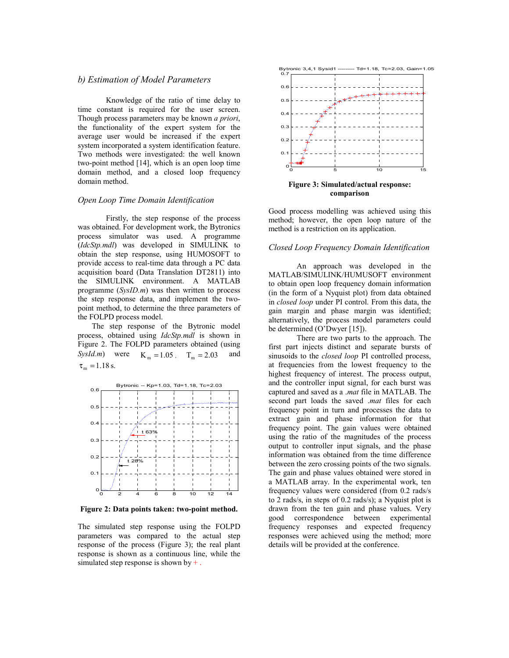#### *b) Estimation of Model Parameters*

Knowledge of the ratio of time delay to time constant is required for the user screen. Though process parameters may be known *a priori*, the functionality of the expert system for the average user would be increased if the expert system incorporated a system identification feature. Two methods were investigated: the well known two-point method [14], which is an open loop time domain method, and a closed loop frequency domain method.

#### *Open Loop Time Domain Identification*

Firstly, the step response of the process was obtained. For development work, the Bytronics process simulator was used. A programme (*IdcStp.mdl*) was developed in SIMULINK to obtain the step response, using HUMOSOFT to provide access to real-time data through a PC data acquisition board (Data Translation DT2811) into the SIMULINK environment. A MATLAB programme (*SysID.m*) was then written to process the step response data, and implement the twopoint method, to determine the three parameters of the FOLPD process model.

 The step response of the Bytronic model process, obtained using *IdcStp.mdl* is shown in Figure 2. The FOLPD parameters obtained (using *SysId.m*) were  $K_m = 1.05$ ,  $T_m = 2.03$  and  $\tau_{\rm m} = 1.18$  s.



**Figure 2: Data points taken: two-point method.** 

The simulated step response using the FOLPD parameters was compared to the actual step response of the process (Figure 3); the real plant response is shown as a continuous line, while the simulated step response is shown by  $+$ .



**Figure 3: Simulated/actual response: comparison** 

Good process modelling was achieved using this method; however, the open loop nature of the method is a restriction on its application.

#### *Closed Loop Frequency Domain Identification*

An approach was developed in the MATLAB/SIMULINK/HUMUSOFT environment to obtain open loop frequency domain information (in the form of a Nyquist plot) from data obtained in *closed loop* under PI control. From this data, the gain margin and phase margin was identified; alternatively, the process model parameters could be determined (O'Dwyer [15]).

There are two parts to the approach. The first part injects distinct and separate bursts of sinusoids to the *closed loop* PI controlled process, at frequencies from the lowest frequency to the highest frequency of interest. The process output, and the controller input signal, for each burst was captured and saved as a .*mat* file in MATLAB. The second part loads the saved .*mat* files for each frequency point in turn and processes the data to extract gain and phase information for that frequency point. The gain values were obtained using the ratio of the magnitudes of the process output to controller input signals, and the phase information was obtained from the time difference between the zero crossing points of the two signals. The gain and phase values obtained were stored in a MATLAB array. In the experimental work, ten frequency values were considered (from 0.2 rads/s to 2 rads/s, in steps of 0.2 rads/s); a Nyquist plot is drawn from the ten gain and phase values. Very good correspondence between experimental frequency responses and expected frequency responses were achieved using the method; more details will be provided at the conference.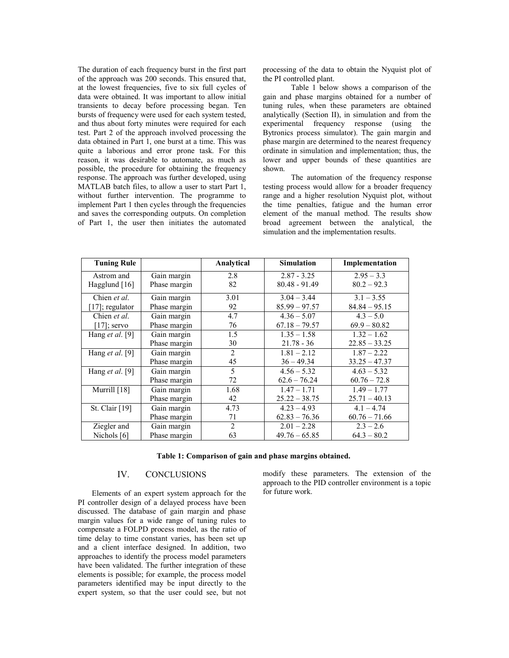The duration of each frequency burst in the first part of the approach was 200 seconds. This ensured that, at the lowest frequencies, five to six full cycles of data were obtained. It was important to allow initial transients to decay before processing began. Ten bursts of frequency were used for each system tested, and thus about forty minutes were required for each test. Part 2 of the approach involved processing the data obtained in Part 1, one burst at a time. This was quite a laborious and error prone task. For this reason, it was desirable to automate, as much as possible, the procedure for obtaining the frequency response. The approach was further developed, using MATLAB batch files, to allow a user to start Part 1, without further intervention. The programme to implement Part 1 then cycles through the frequencies and saves the corresponding outputs. On completion of Part 1, the user then initiates the automated processing of the data to obtain the Nyquist plot of the PI controlled plant.

Table 1 below shows a comparison of the gain and phase margins obtained for a number of tuning rules, when these parameters are obtained analytically (Section II), in simulation and from the experimental frequency response (using the Bytronics process simulator). The gain margin and phase margin are determined to the nearest frequency ordinate in simulation and implementation; thus, the lower and upper bounds of these quantities are shown.

The automation of the frequency response testing process would allow for a broader frequency range and a higher resolution Nyquist plot, without the time penalties, fatigue and the human error element of the manual method. The results show broad agreement between the analytical, the simulation and the implementation results.

| <b>Tuning Rule</b>     |              | Analytical | <b>Simulation</b> | Implementation  |
|------------------------|--------------|------------|-------------------|-----------------|
| Astrom and             | Gain margin  | 2.8        | $2.87 - 3.25$     | $2.95 - 3.3$    |
| Hagglund [16]          | Phase margin | 82         | $80.48 - 91.49$   | $80.2 - 92.3$   |
| Chien et al.           | Gain margin  | 3.01       | $3.04 - 3.44$     | $3.1 - 3.55$    |
| [17]; regulator        | Phase margin | 92         | $85.99 - 97.57$   | $84.84 - 95.15$ |
| Chien <i>et al.</i>    | Gain margin  | 4.7        | $4.36 - 5.07$     | $4.3 - 5.0$     |
| [17]; servo            | Phase margin | 76         | $67.18 - 79.57$   | $69.9 - 80.82$  |
| Hang <i>et al.</i> [9] | Gain margin  | 1.5        | $1.35 - 1.58$     | $1.32 - 1.62$   |
|                        | Phase margin | 30         | $21.78 - 36$      | $22.85 - 33.25$ |
| Hang <i>et al.</i> [9] | Gain margin  | 2          | $1.81 - 2.12$     | $1.87 - 2.22$   |
|                        | Phase margin | 45         | $36 - 49.34$      | $33.25 - 47.37$ |
| Hang <i>et al.</i> [9] | Gain margin  | 5          | $4.56 - 5.32$     | $4.63 - 5.32$   |
|                        | Phase margin | 72         | $62.6 - 76.24$    | $60.76 - 72.8$  |
| Murrill $[18]$         | Gain margin  | 1.68       | $1.47 - 1.71$     | $1.49 - 1.77$   |
|                        | Phase margin | 42         | $25.22 - 38.75$   | $25.71 - 40.13$ |
| St. Clair $[19]$       | Gain margin  | 4.73       | $4.23 - 4.93$     | $4.1 - 4.74$    |
|                        | Phase margin | 71         | $62.83 - 76.36$   | $60.76 - 71.66$ |
| Ziegler and            | Gain margin  | 2          | $2.01 - 2.28$     | $2.3 - 2.6$     |
| Nichols [6]            | Phase margin | 63         | $49.76 - 65.85$   | $64.3 - 80.2$   |

**Table 1: Comparison of gain and phase margins obtained.** 

#### IV.CONCLUSIONS

Elements of an expert system approach for the PI controller design of a delayed process have been discussed. The database of gain margin and phase margin values for a wide range of tuning rules to compensate a FOLPD process model, as the ratio of time delay to time constant varies, has been set up and a client interface designed. In addition, two approaches to identify the process model parameters have been validated. The further integration of these elements is possible; for example, the process model parameters identified may be input directly to the expert system, so that the user could see, but not

modify these parameters. The extension of the approach to the PID controller environment is a topic for future work.